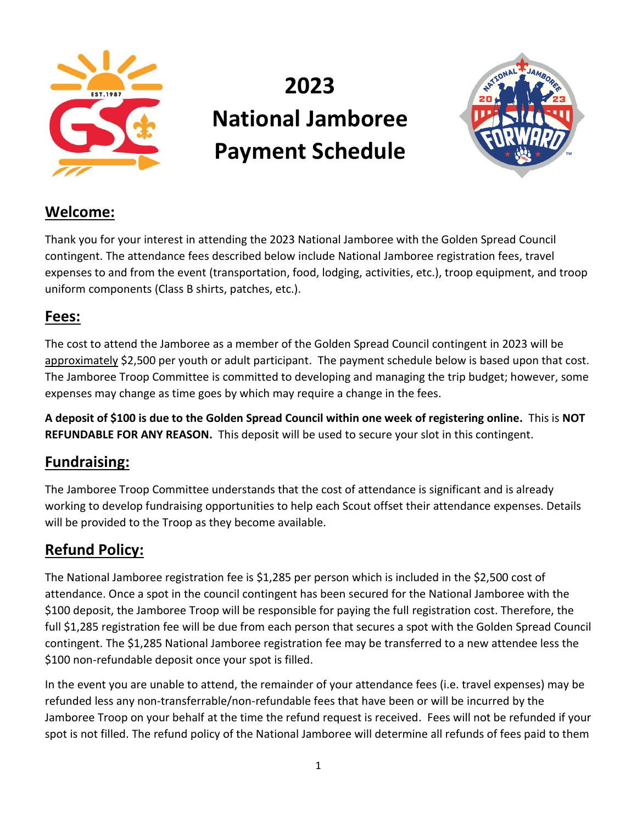

# **2023 National Jamboree Payment Schedule**



## **Welcome:**

Thank you for your interest in attending the 2023 National Jamboree with the Golden Spread Council contingent. The attendance fees described below include National Jamboree registration fees, travel expenses to and from the event (transportation, food, lodging, activities, etc.), troop equipment, and troop uniform components (Class B shirts, patches, etc.).

#### **Fees:**

The cost to attend the Jamboree as a member of the Golden Spread Council contingent in 2023 will be approximately \$2,500 per youth or adult participant. The payment schedule below is based upon that cost. The Jamboree Troop Committee is committed to developing and managing the trip budget; however, some expenses may change as time goes by which may require a change in the fees.

**A deposit of \$100 is due to the Golden Spread Council within one week of registering online.** This is **NOT REFUNDABLE FOR ANY REASON.** This deposit will be used to secure your slot in this contingent.

#### **Fundraising:**

The Jamboree Troop Committee understands that the cost of attendance is significant and is already working to develop fundraising opportunities to help each Scout offset their attendance expenses. Details will be provided to the Troop as they become available.

### **Refund Policy:**

The National Jamboree registration fee is \$1,285 per person which is included in the \$2,500 cost of attendance. Once a spot in the council contingent has been secured for the National Jamboree with the \$100 deposit, the Jamboree Troop will be responsible for paying the full registration cost. Therefore, the full \$1,285 registration fee will be due from each person that secures a spot with the Golden Spread Council contingent. The \$1,285 National Jamboree registration fee may be transferred to a new attendee less the \$100 non-refundable deposit once your spot is filled.

In the event you are unable to attend, the remainder of your attendance fees (i.e. travel expenses) may be refunded less any non-transferrable/non-refundable fees that have been or will be incurred by the Jamboree Troop on your behalf at the time the refund request is received. Fees will not be refunded if your spot is not filled. The refund policy of the National Jamboree will determine all refunds of fees paid to them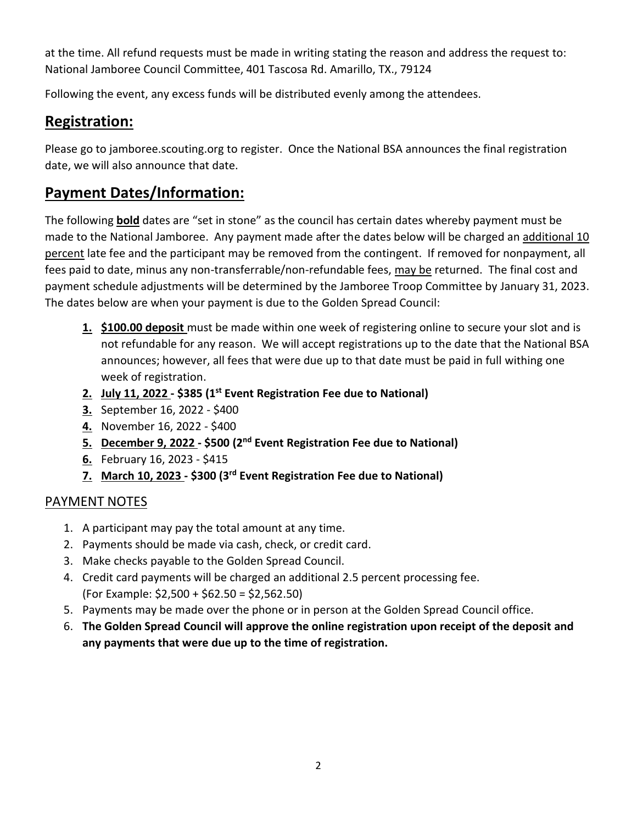at the time. All refund requests must be made in writing stating the reason and address the request to: National Jamboree Council Committee, 401 Tascosa Rd. Amarillo, TX., 79124

Following the event, any excess funds will be distributed evenly among the attendees.

## **Registration:**

Please go to jamboree.scouting.org to register. Once the National BSA announces the final registration date, we will also announce that date.

#### **Payment Dates/Information:**

The following **bold** dates are "set in stone" as the council has certain dates whereby payment must be made to the National Jamboree. Any payment made after the dates below will be charged an additional 10 percent late fee and the participant may be removed from the contingent. If removed for nonpayment, all fees paid to date, minus any non-transferrable/non-refundable fees, may be returned. The final cost and payment schedule adjustments will be determined by the Jamboree Troop Committee by January 31, 2023. The dates below are when your payment is due to the Golden Spread Council:

- **1. \$100.00 deposit** must be made within one week of registering online to secure your slot and is not refundable for any reason. We will accept registrations up to the date that the National BSA announces; however, all fees that were due up to that date must be paid in full withing one week of registration.
- **2. July 11, 2022 - \$385 (1st Event Registration Fee due to National)**
- **3.** September 16, 2022 \$400
- **4.** November 16, 2022 \$400
- **5. December 9, 2022 - \$500 (2nd Event Registration Fee due to National)**
- **6.** February 16, 2023 \$415
- **7. March 10, 2023 - \$300 (3rd Event Registration Fee due to National)**

#### PAYMENT NOTES

- 1. A participant may pay the total amount at any time.
- 2. Payments should be made via cash, check, or credit card.
- 3. Make checks payable to the Golden Spread Council.
- 4. Credit card payments will be charged an additional 2.5 percent processing fee. (For Example: \$2,500 + \$62.50 = \$2,562.50)
- 5. Payments may be made over the phone or in person at the Golden Spread Council office.
- 6. **The Golden Spread Council will approve the online registration upon receipt of the deposit and any payments that were due up to the time of registration.**